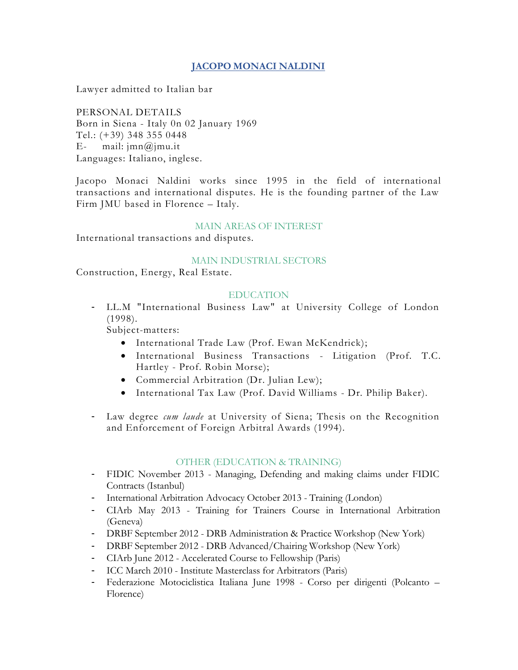## **JACOPO MONACI NALDINI**

Lawyer admitted to Italian bar

PERSONAL DETAILS Born in Siena - Italy 0n 02 January 1969 Tel.: (+39) 348 355 0448 E- mail:  $\text{imn}(\mathcal{Q})$  mu.it Languages: Italiano, inglese.

Jacopo Monaci Naldini works since 1995 in the field of international transactions and international disputes. He is the founding partner of the Law Firm JMU based in Florence – Italy.

#### MAIN AREAS OF INTEREST

International transactions and disputes.

#### MAIN INDUSTRIAL SECTORS

Construction, Energy, Real Estate.

#### EDUCATION

- LL.M "International Business Law" at University College of London (1998).

Subject-matters:

- International Trade Law (Prof. Ewan McKendrick);
- International Business Transactions Litigation (Prof. T.C. Hartley - Prof. Robin Morse);
- Commercial Arbitration (Dr. Julian Lew);
- International Tax Law (Prof. David Williams Dr. Philip Baker).
- Law degree *cum laude* at University of Siena; Thesis on the Recognition and Enforcement of Foreign Arbitral Awards (1994).

#### OTHER (EDUCATION & TRAINING)

- FIDIC November 2013 Managing, Defending and making claims under FIDIC Contracts (Istanbul)
- International Arbitration Advocacy October 2013 Training (London)
- CIArb May 2013 Training for Trainers Course in International Arbitration (Geneva)
- DRBF September 2012 DRB Administration & Practice Workshop (New York)
- DRBF September 2012 DRB Advanced/Chairing Workshop (New York)
- CIArb June 2012 Accelerated Course to Fellowship (Paris)
- ICC March 2010 Institute Masterclass for Arbitrators (Paris)
- Federazione Motociclistica Italiana June 1998 Corso per dirigenti (Polcanto Florence)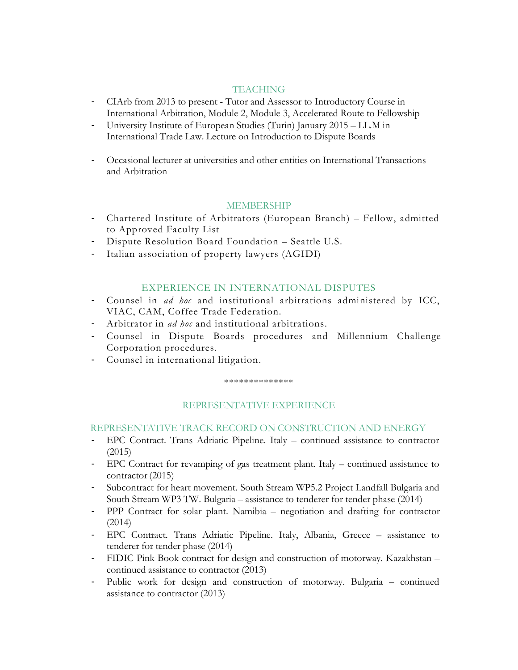### **TEACHING**

- CIArb from 2013 to present Tutor and Assessor to Introductory Course in International Arbitration, Module 2, Module 3, Accelerated Route to Fellowship
- University Institute of European Studies (Turin) January 2015 LL.M in International Trade Law. Lecture on Introduction to Dispute Boards
- Occasional lecturer at universities and other entities on International Transactions and Arbitration

## MEMBERSHIP

- Chartered Institute of Arbitrators (European Branch) Fellow, admitted to Approved Faculty List
- Dispute Resolution Board Foundation Seattle U.S.
- Italian association of property lawyers (AGIDI)

### EXPERIENCE IN INTERNATIONAL DISPUTES

- Counsel in *ad hoc* and institutional arbitrations administered by ICC, VIAC, CAM, Coffee Trade Federation.
- Arbitrator in *ad hoc* and institutional arbitrations.
- Counsel in Dispute Boards procedures and Millennium Challenge Corporation procedures.
- Counsel in international litigation.

#### \*\*\*\*\*\*\*\*\*\*\*\*\*\*

## REPRESENTATIVE EXPERIENCE

### REPRESENTATIVE TRACK RECORD ON CONSTRUCTION AND ENERGY

- EPC Contract. Trans Adriatic Pipeline. Italy continued assistance to contractor (2015)
- EPC Contract for revamping of gas treatment plant. Italy continued assistance to contractor (2015)
- Subcontract for heart movement. South Stream WP5.2 Project Landfall Bulgaria and South Stream WP3 TW. Bulgaria – assistance to tenderer for tender phase (2014)
- PPP Contract for solar plant. Namibia negotiation and drafting for contractor (2014)
- EPC Contract. Trans Adriatic Pipeline. Italy, Albania, Greece assistance to tenderer for tender phase (2014)
- FIDIC Pink Book contract for design and construction of motorway. Kazakhstan continued assistance to contractor (2013)
- Public work for design and construction of motorway. Bulgaria continued assistance to contractor (2013)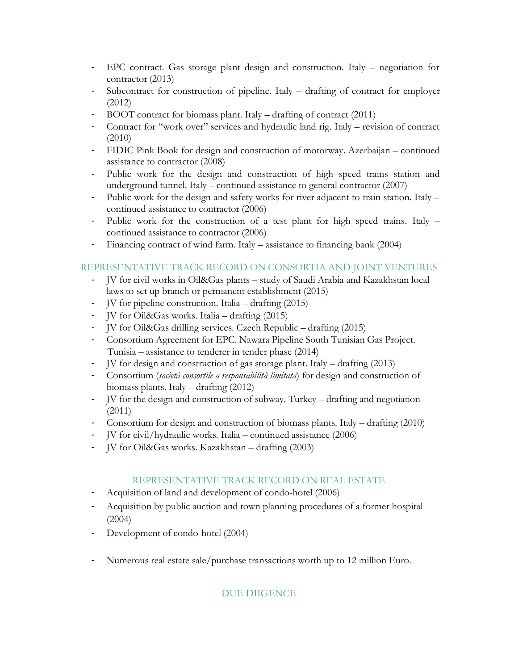- EPC contract. Gas storage plant design and construction. Italy negotiation for contractor (2013)
- Subcontract for construction of pipeline. Italy drafting of contract for employer (2012)
- BOOT contract for biomass plant. Italy drafting of contract (2011)
- Contract for "work over" services and hydraulic land rig. Italy revision of contract (2010)
- FIDIC Pink Book for design and construction of motorway. Azerbaijan continued assistance to contractor (2008)
- Public work for the design and construction of high speed trains station and underground tunnel. Italy – continued assistance to general contractor (2007)
- Public work for the design and safety works for river adjacent to train station. Italy continued assistance to contractor (2006)
- Public work for the construction of a test plant for high speed trains. Italy continued assistance to contractor (2006)
- Financing contract of wind farm. Italy assistance to financing bank (2004)

## REPRESENTATIVE TRACK RECORD ON CONSORTIA AND JOINT VENTURES

- JV for civil works in Oil&Gas plants study of Saudi Arabia and Kazakhstan local laws to set up branch or permanent establishment (2015)
- JV for pipeline construction. Italia drafting (2015)
- JV for Oil&Gas works. Italia drafting (2015)
- JV for Oil&Gas drilling services. Czech Republic drafting (2015)
- Consortium Agreement for EPC. Nawara Pipeline South Tunisian Gas Project. Tunisia – assistance to tenderer in tender phase (2014)
- JV for design and construction of gas storage plant. Italy drafting (2013)
- Consortium (*società consortile a responsabilità limitata*) for design and construction of biomass plants. Italy – drafting (2012)
- JV for the design and construction of subway. Turkey drafting and negotiation (2011)
- Consortium for design and construction of biomass plants. Italy drafting (2010)
- JV for civil/hydraulic works. Italia continued assistance (2006)
- JV for Oil&Gas works. Kazakhstan drafting (2003)

## REPRESENTATIVE TRACK RECORD ON REAL ESTATE

- Acquisition of land and development of condo-hotel (2006)
- Acquisition by public auction and town planning procedures of a former hospital (2004)
- Development of condo-hotel (2004)
- Numerous real estate sale/purchase transactions worth up to 12 million Euro.

# DUE DIIGENCE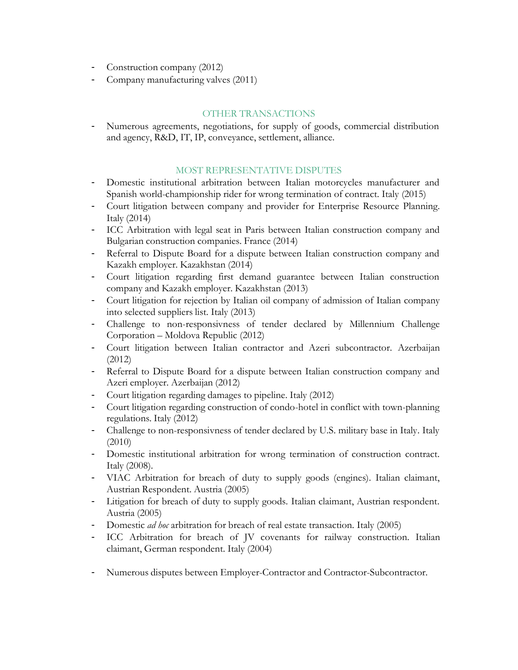- Construction company (2012)
- Company manufacturing valves (2011)

# OTHER TRANSACTIONS

- Numerous agreements, negotiations, for supply of goods, commercial distribution and agency, R&D, IT, IP, conveyance, settlement, alliance.

## MOST REPRESENTATIVE DISPUTES

- Domestic institutional arbitration between Italian motorcycles manufacturer and Spanish world-championship rider for wrong termination of contract. Italy (2015)
- Court litigation between company and provider for Enterprise Resource Planning. Italy (2014)
- ICC Arbitration with legal seat in Paris between Italian construction company and Bulgarian construction companies. France (2014)
- Referral to Dispute Board for a dispute between Italian construction company and Kazakh employer. Kazakhstan (2014)
- Court litigation regarding first demand guarantee between Italian construction company and Kazakh employer. Kazakhstan (2013)
- Court litigation for rejection by Italian oil company of admission of Italian company into selected suppliers list. Italy (2013)
- Challenge to non-responsivness of tender declared by Millennium Challenge Corporation – Moldova Republic (2012)
- Court litigation between Italian contractor and Azeri subcontractor. Azerbaijan (2012)
- Referral to Dispute Board for a dispute between Italian construction company and Azeri employer. Azerbaijan (2012)
- Court litigation regarding damages to pipeline. Italy (2012)
- Court litigation regarding construction of condo-hotel in conflict with town-planning regulations. Italy (2012)
- Challenge to non-responsivness of tender declared by U.S. military base in Italy. Italy (2010)
- Domestic institutional arbitration for wrong termination of construction contract. Italy (2008).
- VIAC Arbitration for breach of duty to supply goods (engines). Italian claimant, Austrian Respondent. Austria (2005)
- Litigation for breach of duty to supply goods. Italian claimant, Austrian respondent. Austria (2005)
- Domestic *ad hoc* arbitration for breach of real estate transaction. Italy (2005)
- ICC Arbitration for breach of JV covenants for railway construction. Italian claimant, German respondent. Italy (2004)
- Numerous disputes between Employer-Contractor and Contractor-Subcontractor.